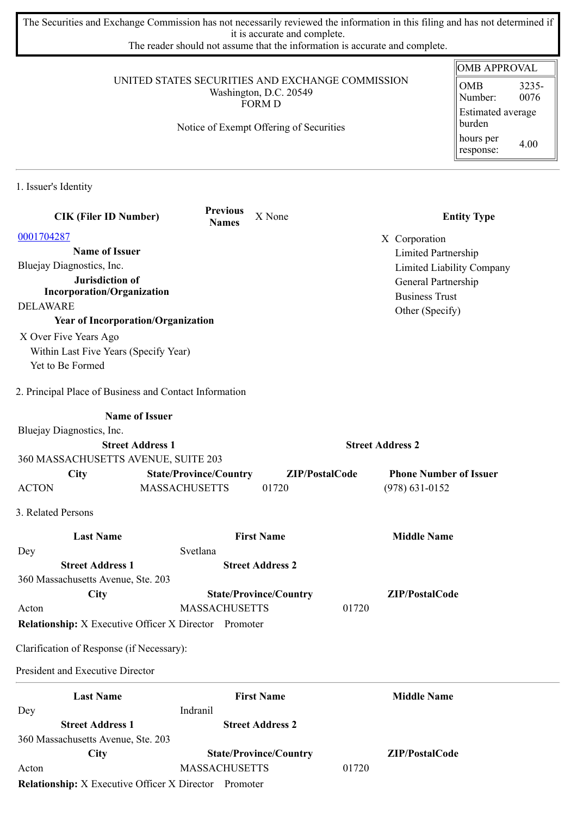The Securities and Exchange Commission has not necessarily reviewed the information in this filing and has not determined if it is accurate and complete.

The reader should not assume that the information is accurate and complete.

## UNITED STATES SECURITIES AND EXCHANGE COMMISSION Washington, D.C. 20549 FORM D

Notice of Exempt Offering of Securities

## OMB APPROVAL OMB Number: 3235- 0076 Estimated average burden hours per response: 4.00

1. Issuer's Identity

| <b>CIK (Filer ID Number)</b>                                 | <b>Previous</b><br><b>Names</b> | X None                        |                         | <b>Entity Type</b>            |
|--------------------------------------------------------------|---------------------------------|-------------------------------|-------------------------|-------------------------------|
| 0001704287                                                   |                                 |                               |                         | X Corporation                 |
| <b>Name of Issuer</b>                                        |                                 |                               |                         | Limited Partnership           |
| Bluejay Diagnostics, Inc.                                    |                                 |                               |                         | Limited Liability Company     |
| Jurisdiction of                                              |                                 |                               |                         | General Partnership           |
| <b>Incorporation/Organization</b>                            |                                 |                               |                         | <b>Business Trust</b>         |
| <b>DELAWARE</b>                                              |                                 |                               |                         | Other (Specify)               |
| <b>Year of Incorporation/Organization</b>                    |                                 |                               |                         |                               |
| X Over Five Years Ago                                        |                                 |                               |                         |                               |
| Within Last Five Years (Specify Year)                        |                                 |                               |                         |                               |
| Yet to Be Formed                                             |                                 |                               |                         |                               |
| 2. Principal Place of Business and Contact Information       |                                 |                               |                         |                               |
| <b>Name of Issuer</b>                                        |                                 |                               |                         |                               |
| Bluejay Diagnostics, Inc.                                    |                                 |                               |                         |                               |
| <b>Street Address 1</b>                                      |                                 |                               | <b>Street Address 2</b> |                               |
| 360 MASSACHUSETTS AVENUE, SUITE 203                          |                                 |                               |                         |                               |
| <b>City</b>                                                  | <b>State/Province/Country</b>   |                               | ZIP/PostalCode          | <b>Phone Number of Issuer</b> |
| <b>ACTON</b>                                                 | <b>MASSACHUSETTS</b>            | 01720                         |                         | $(978) 631 - 0152$            |
| 3. Related Persons                                           |                                 |                               |                         |                               |
| <b>Last Name</b>                                             |                                 | <b>First Name</b>             |                         | <b>Middle Name</b>            |
| Dey                                                          | Svetlana                        |                               |                         |                               |
| <b>Street Address 1</b>                                      |                                 | <b>Street Address 2</b>       |                         |                               |
| 360 Massachusetts Avenue, Ste. 203                           |                                 |                               |                         |                               |
| City                                                         |                                 | <b>State/Province/Country</b> |                         | ZIP/PostalCode                |
| Acton                                                        | <b>MASSACHUSETTS</b>            |                               | 01720                   |                               |
| <b>Relationship:</b> X Executive Officer X Director Promoter |                                 |                               |                         |                               |
| Clarification of Response (if Necessary):                    |                                 |                               |                         |                               |
| President and Executive Director                             |                                 |                               |                         |                               |
| <b>Last Name</b>                                             |                                 | <b>First Name</b>             |                         | <b>Middle Name</b>            |
| Dey                                                          | Indranil                        |                               |                         |                               |
| <b>Street Address 1</b>                                      |                                 | <b>Street Address 2</b>       |                         |                               |
| 360 Massachusetts Avenue, Ste. 203                           |                                 |                               |                         |                               |
| <b>City</b>                                                  |                                 | <b>State/Province/Country</b> |                         | ZIP/PostalCode                |
| Acton                                                        | <b>MASSACHUSETTS</b>            |                               | 01720                   |                               |
| <b>Relationship:</b> X Executive Officer X Director Promoter |                                 |                               |                         |                               |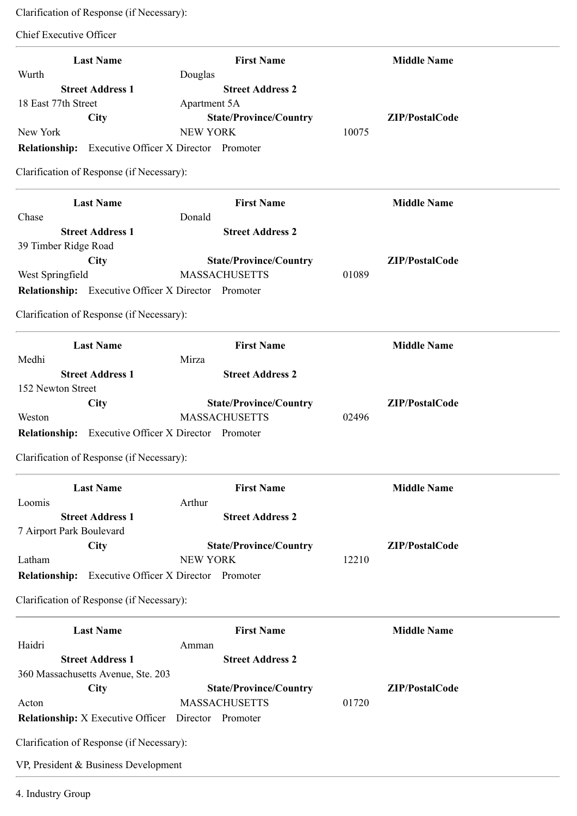Clarification of Response (if Necessary):

Chief Executive Officer

| <b>Last Name</b><br>Wurth                                  | <b>First Name</b><br>Douglas                          | <b>Middle Name</b> |
|------------------------------------------------------------|-------------------------------------------------------|--------------------|
| <b>Street Address 1</b>                                    | <b>Street Address 2</b>                               |                    |
| 18 East 77th Street                                        | Apartment 5A                                          |                    |
| City                                                       | <b>State/Province/Country</b>                         | ZIP/PostalCode     |
| New York                                                   | <b>NEW YORK</b>                                       | 10075              |
| <b>Relationship:</b> Executive Officer X Director Promoter |                                                       |                    |
| Clarification of Response (if Necessary):                  |                                                       |                    |
|                                                            |                                                       |                    |
| <b>Last Name</b>                                           | <b>First Name</b>                                     | <b>Middle Name</b> |
| Chase                                                      | Donald                                                |                    |
| <b>Street Address 1</b>                                    | <b>Street Address 2</b>                               |                    |
| 39 Timber Ridge Road                                       |                                                       |                    |
| <b>City</b>                                                | <b>State/Province/Country</b>                         | ZIP/PostalCode     |
| West Springfield                                           | <b>MASSACHUSETTS</b>                                  | 01089              |
| <b>Relationship:</b> Executive Officer X Director Promoter |                                                       |                    |
| Clarification of Response (if Necessary):                  |                                                       |                    |
| <b>Last Name</b>                                           | <b>First Name</b>                                     | <b>Middle Name</b> |
| Medhi                                                      | Mirza                                                 |                    |
| <b>Street Address 1</b>                                    | <b>Street Address 2</b>                               |                    |
| 152 Newton Street                                          |                                                       |                    |
| <b>City</b>                                                | <b>State/Province/Country</b>                         | ZIP/PostalCode     |
| Weston                                                     | <b>MASSACHUSETTS</b>                                  | 02496              |
| <b>Relationship:</b> Executive Officer X Director Promoter |                                                       |                    |
|                                                            |                                                       |                    |
| Clarification of Response (if Necessary):                  |                                                       |                    |
| <b>Last Name</b>                                           | <b>First Name</b>                                     | <b>Middle Name</b> |
| Loomis                                                     | Arthur                                                |                    |
| <b>Street Address 1</b>                                    | <b>Street Address 2</b>                               |                    |
| 7 Airport Park Boulevard                                   |                                                       |                    |
| <b>City</b>                                                | <b>State/Province/Country</b>                         | ZIP/PostalCode     |
| Latham                                                     | <b>NEW YORK</b>                                       | 12210              |
| <b>Relationship:</b>                                       | Executive Officer X Director Promoter                 |                    |
| Clarification of Response (if Necessary):                  |                                                       |                    |
| <b>Last Name</b>                                           | <b>First Name</b>                                     | <b>Middle Name</b> |
| Haidri                                                     | Amman                                                 |                    |
| <b>Street Address 1</b>                                    | <b>Street Address 2</b>                               |                    |
| 360 Massachusetts Avenue, Ste. 203                         |                                                       |                    |
| City                                                       |                                                       | ZIP/PostalCode     |
| Acton                                                      | <b>State/Province/Country</b><br><b>MASSACHUSETTS</b> | 01720              |
| <b>Relationship:</b> X Executive Officer                   | Director Promoter                                     |                    |
|                                                            |                                                       |                    |
| Clarification of Response (if Necessary):                  |                                                       |                    |
| VP, President & Business Development                       |                                                       |                    |
|                                                            |                                                       |                    |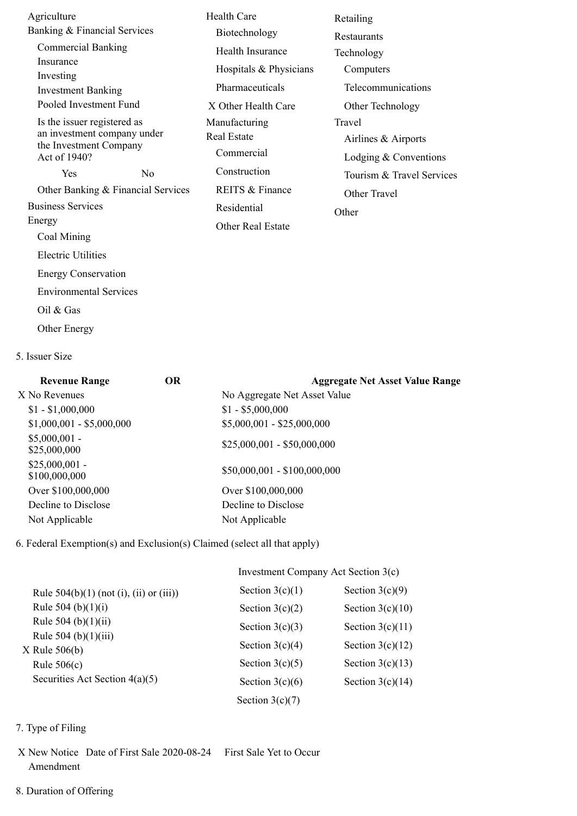| Agriculture                                                                                          |                | <b>Health Care</b>                                | Retailing                                                |  |
|------------------------------------------------------------------------------------------------------|----------------|---------------------------------------------------|----------------------------------------------------------|--|
| Banking & Financial Services                                                                         |                | Biotechnology                                     | <b>Restaurants</b>                                       |  |
| <b>Commercial Banking</b>                                                                            |                | Health Insurance                                  | Technology                                               |  |
| Insurance                                                                                            |                | Hospitals & Physicians                            | Computers                                                |  |
| Investing<br><b>Investment Banking</b>                                                               |                | Pharmaceuticals                                   | Telecommunications                                       |  |
| Pooled Investment Fund                                                                               |                | X Other Health Care                               | Other Technology                                         |  |
| Is the issuer registered as<br>an investment company under<br>the Investment Company<br>Act of 1940? |                | Manufacturing<br><b>Real Estate</b><br>Commercial | Travel<br>Airlines & Airports<br>Lodging $&$ Conventions |  |
| Yes                                                                                                  | N <sub>0</sub> | Construction                                      | Tourism & Travel Services                                |  |
| Other Banking & Financial Services                                                                   |                | REITS & Finance                                   | Other Travel                                             |  |
| <b>Business Services</b>                                                                             |                | Residential                                       | Other                                                    |  |
| Energy                                                                                               |                | Other Real Estate                                 |                                                          |  |
| Coal Mining                                                                                          |                |                                                   |                                                          |  |
| <b>Electric Utilities</b>                                                                            |                |                                                   |                                                          |  |
| <b>Energy Conservation</b>                                                                           |                |                                                   |                                                          |  |
| <b>Environmental Services</b>                                                                        |                |                                                   |                                                          |  |
| Oil $&$ Gas                                                                                          |                |                                                   |                                                          |  |
| <b>Other Energy</b>                                                                                  |                |                                                   |                                                          |  |

## 5. Issuer Size

| <b>OR</b> | <b>Aggregate Net Asset Value Range</b> |  |
|-----------|----------------------------------------|--|
|           | No Aggregate Net Asset Value           |  |
|           | $$1 - $5,000,000$                      |  |
|           | $$5,000,001 - $25,000,000$             |  |
|           | $$25,000,001 - $50,000,000$            |  |
|           | $$50,000,001 - $100,000,000$           |  |
|           | Over \$100,000,000                     |  |
|           | Decline to Disclose                    |  |
|           | Not Applicable                         |  |
|           |                                        |  |

6. Federal Exemption(s) and Exclusion(s) Claimed (select all that apply)

|                                            | Investment Company Act Section 3(c) |                    |  |
|--------------------------------------------|-------------------------------------|--------------------|--|
| Rule $504(b)(1)$ (not (i), (ii) or (iii))  | Section $3(c)(1)$                   | Section $3(c)(9)$  |  |
| Rule 504 (b) $(1)(i)$                      | Section $3(c)(2)$                   | Section $3(c)(10)$ |  |
| Rule 504 (b) $(1)(ii)$                     | Section $3(c)(3)$                   | Section $3(c)(11)$ |  |
| Rule $504$ (b) $(1)(iii)$<br>X Rule 506(b) | Section $3(c)(4)$                   | Section $3(c)(12)$ |  |
| Rule $506(c)$                              | Section $3(c)(5)$                   | Section $3(c)(13)$ |  |
| Securities Act Section $4(a)(5)$           | Section $3(c)(6)$                   | Section $3(c)(14)$ |  |
|                                            | Section $3(c)(7)$                   |                    |  |

## 7. Type of Filing

- X New Notice Date of First Sale 2020-08-24 First Sale Yet to Occur Amendment
- 8. Duration of Offering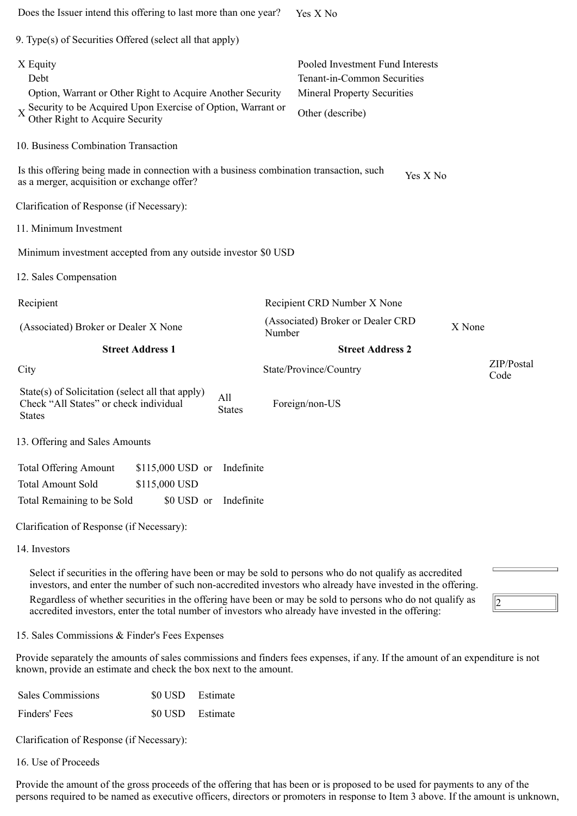| Does the Issuer intend this offering to last more than one year?                                                                                                                                                                                                                                                                                                                                                                               | Yes X No                                                                                                                  |                    |  |
|------------------------------------------------------------------------------------------------------------------------------------------------------------------------------------------------------------------------------------------------------------------------------------------------------------------------------------------------------------------------------------------------------------------------------------------------|---------------------------------------------------------------------------------------------------------------------------|--------------------|--|
| 9. Type(s) of Securities Offered (select all that apply)                                                                                                                                                                                                                                                                                                                                                                                       |                                                                                                                           |                    |  |
| X Equity<br>Debt<br>Option, Warrant or Other Right to Acquire Another Security<br>X Security to be Acquired Upon Exercise of Option, Warrant or<br>Other Right to Acquire Security                                                                                                                                                                                                                                                             | Pooled Investment Fund Interests<br>Tenant-in-Common Securities<br><b>Mineral Property Securities</b><br>Other (describe) |                    |  |
| 10. Business Combination Transaction                                                                                                                                                                                                                                                                                                                                                                                                           |                                                                                                                           |                    |  |
| Is this offering being made in connection with a business combination transaction, such<br>as a merger, acquisition or exchange offer?                                                                                                                                                                                                                                                                                                         | Yes X No                                                                                                                  |                    |  |
| Clarification of Response (if Necessary):                                                                                                                                                                                                                                                                                                                                                                                                      |                                                                                                                           |                    |  |
| 11. Minimum Investment                                                                                                                                                                                                                                                                                                                                                                                                                         |                                                                                                                           |                    |  |
| Minimum investment accepted from any outside investor \$0 USD                                                                                                                                                                                                                                                                                                                                                                                  |                                                                                                                           |                    |  |
| 12. Sales Compensation                                                                                                                                                                                                                                                                                                                                                                                                                         |                                                                                                                           |                    |  |
| Recipient                                                                                                                                                                                                                                                                                                                                                                                                                                      | Recipient CRD Number X None                                                                                               |                    |  |
| (Associated) Broker or Dealer X None<br>Number                                                                                                                                                                                                                                                                                                                                                                                                 | (Associated) Broker or Dealer CRD<br>X None                                                                               |                    |  |
| <b>Street Address 1</b>                                                                                                                                                                                                                                                                                                                                                                                                                        | <b>Street Address 2</b>                                                                                                   |                    |  |
| City                                                                                                                                                                                                                                                                                                                                                                                                                                           | State/Province/Country                                                                                                    | ZIP/Postal<br>Code |  |
| State(s) of Solicitation (select all that apply)<br>All<br>Check "All States" or check individual<br><b>States</b><br><b>States</b>                                                                                                                                                                                                                                                                                                            | Foreign/non-US                                                                                                            |                    |  |
| 13. Offering and Sales Amounts                                                                                                                                                                                                                                                                                                                                                                                                                 |                                                                                                                           |                    |  |
| <b>Total Offering Amount</b><br>Indefinite<br>$$115,000$ USD or<br><b>Total Amount Sold</b><br>\$115,000 USD<br>Total Remaining to be Sold<br>\$0 USD or<br>Indefinite                                                                                                                                                                                                                                                                         |                                                                                                                           |                    |  |
| Clarification of Response (if Necessary):                                                                                                                                                                                                                                                                                                                                                                                                      |                                                                                                                           |                    |  |
| 14. Investors                                                                                                                                                                                                                                                                                                                                                                                                                                  |                                                                                                                           |                    |  |
| Select if securities in the offering have been or may be sold to persons who do not qualify as accredited<br>investors, and enter the number of such non-accredited investors who already have invested in the offering.<br>Regardless of whether securities in the offering have been or may be sold to persons who do not qualify as<br>accredited investors, enter the total number of investors who already have invested in the offering: |                                                                                                                           | 2                  |  |
| 15. Sales Commissions & Finder's Fees Expenses                                                                                                                                                                                                                                                                                                                                                                                                 |                                                                                                                           |                    |  |
| Provide separately the amounts of sales commissions and finders fees expenses, if any. If the amount of an expenditure is not<br>known, provide an estimate and check the box next to the amount.                                                                                                                                                                                                                                              |                                                                                                                           |                    |  |
| <b>Sales Commissions</b><br>\$0 USD<br>Estimate                                                                                                                                                                                                                                                                                                                                                                                                |                                                                                                                           |                    |  |
| Finders' Fees<br>\$0 USD<br>Estimate                                                                                                                                                                                                                                                                                                                                                                                                           |                                                                                                                           |                    |  |
| Clarification of Response (if Necessary):                                                                                                                                                                                                                                                                                                                                                                                                      |                                                                                                                           |                    |  |

16. Use of Proceeds

Provide the amount of the gross proceeds of the offering that has been or is proposed to be used for payments to any of the persons required to be named as executive officers, directors or promoters in response to Item 3 above. If the amount is unknown,